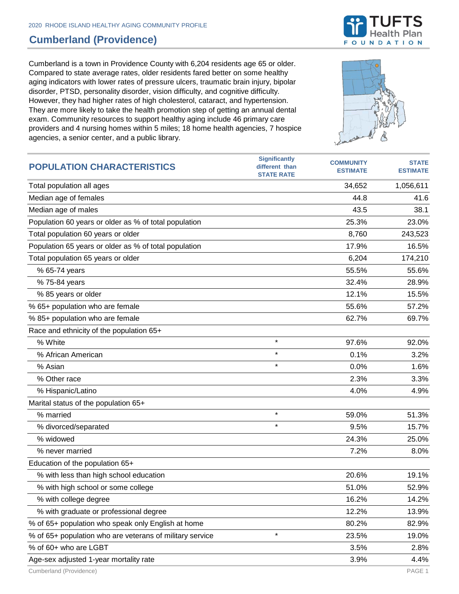## **Cumberland (Providence)**

Cumberland is a town in Providence County with 6,204 residents age 65 or older. Compared to state average rates, older residents fared better on some healthy aging indicators with lower rates of pressure ulcers, traumatic brain injury, bipolar disorder, PTSD, personality disorder, vision difficulty, and cognitive difficulty. However, they had higher rates of high cholesterol, cataract, and hypertension. They are more likely to take the health promotion step of getting an annual dental exam. Community resources to support healthy aging include 46 primary care providers and 4 nursing homes within 5 miles; 18 home health agencies, 7 hospice agencies, a senior center, and a public library.



| <b>POPULATION CHARACTERISTICS</b>                        | <b>Significantly</b><br>different than<br><b>STATE RATE</b> | <b>COMMUNITY</b><br><b>ESTIMATE</b> | <b>STATE</b><br><b>ESTIMATE</b> |
|----------------------------------------------------------|-------------------------------------------------------------|-------------------------------------|---------------------------------|
| Total population all ages                                |                                                             | 34,652                              | 1,056,611                       |
| Median age of females                                    |                                                             | 44.8                                | 41.6                            |
| Median age of males                                      |                                                             | 43.5                                | 38.1                            |
| Population 60 years or older as % of total population    |                                                             | 25.3%                               | 23.0%                           |
| Total population 60 years or older                       |                                                             | 8,760                               | 243,523                         |
| Population 65 years or older as % of total population    |                                                             | 17.9%                               | 16.5%                           |
| Total population 65 years or older                       |                                                             | 6,204                               | 174,210                         |
| % 65-74 years                                            |                                                             | 55.5%                               | 55.6%                           |
| % 75-84 years                                            |                                                             | 32.4%                               | 28.9%                           |
| % 85 years or older                                      |                                                             | 12.1%                               | 15.5%                           |
| % 65+ population who are female                          |                                                             | 55.6%                               | 57.2%                           |
| % 85+ population who are female                          |                                                             | 62.7%                               | 69.7%                           |
| Race and ethnicity of the population 65+                 |                                                             |                                     |                                 |
| % White                                                  | $\star$                                                     | 97.6%                               | 92.0%                           |
| % African American                                       | $\star$                                                     | 0.1%                                | 3.2%                            |
| % Asian                                                  | $\star$                                                     | 0.0%                                | 1.6%                            |
| % Other race                                             |                                                             | 2.3%                                | 3.3%                            |
| % Hispanic/Latino                                        |                                                             | 4.0%                                | 4.9%                            |
| Marital status of the population 65+                     |                                                             |                                     |                                 |
| % married                                                | $\star$                                                     | 59.0%                               | 51.3%                           |
| % divorced/separated                                     | $\star$                                                     | 9.5%                                | 15.7%                           |
| % widowed                                                |                                                             | 24.3%                               | 25.0%                           |
| % never married                                          |                                                             | 7.2%                                | 8.0%                            |
| Education of the population 65+                          |                                                             |                                     |                                 |
| % with less than high school education                   |                                                             | 20.6%                               | 19.1%                           |
| % with high school or some college                       |                                                             | 51.0%                               | 52.9%                           |
| % with college degree                                    |                                                             | 16.2%                               | 14.2%                           |
| % with graduate or professional degree                   |                                                             | 12.2%                               | 13.9%                           |
| % of 65+ population who speak only English at home       |                                                             | 80.2%                               | 82.9%                           |
| % of 65+ population who are veterans of military service | $\star$                                                     | 23.5%                               | 19.0%                           |
| % of 60+ who are LGBT                                    |                                                             | 3.5%                                | 2.8%                            |
| Age-sex adjusted 1-year mortality rate                   |                                                             | 3.9%                                | 4.4%                            |

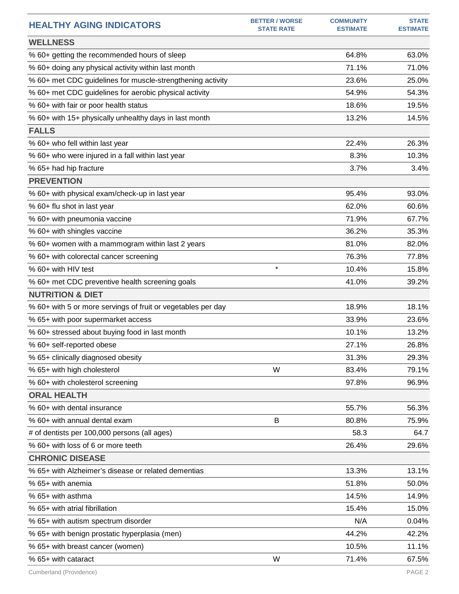| <b>HEALTHY AGING INDICATORS</b>                              | <b>BETTER / WORSE</b><br><b>STATE RATE</b> | <b>COMMUNITY</b><br><b>ESTIMATE</b> | <b>STATE</b><br><b>ESTIMATE</b> |
|--------------------------------------------------------------|--------------------------------------------|-------------------------------------|---------------------------------|
| <b>WELLNESS</b>                                              |                                            |                                     |                                 |
| % 60+ getting the recommended hours of sleep                 |                                            | 64.8%                               | 63.0%                           |
| % 60+ doing any physical activity within last month          |                                            | 71.1%                               | 71.0%                           |
| % 60+ met CDC guidelines for muscle-strengthening activity   |                                            | 23.6%                               | 25.0%                           |
| % 60+ met CDC guidelines for aerobic physical activity       |                                            | 54.9%                               | 54.3%                           |
| % 60+ with fair or poor health status                        |                                            | 18.6%                               | 19.5%                           |
| % 60+ with 15+ physically unhealthy days in last month       |                                            | 13.2%                               | 14.5%                           |
| <b>FALLS</b>                                                 |                                            |                                     |                                 |
| % 60+ who fell within last year                              |                                            | 22.4%                               | 26.3%                           |
| % 60+ who were injured in a fall within last year            |                                            | 8.3%                                | 10.3%                           |
| % 65+ had hip fracture                                       |                                            | 3.7%                                | 3.4%                            |
| <b>PREVENTION</b>                                            |                                            |                                     |                                 |
| % 60+ with physical exam/check-up in last year               |                                            | 95.4%                               | 93.0%                           |
| % 60+ flu shot in last year                                  |                                            | 62.0%                               | 60.6%                           |
| % 60+ with pneumonia vaccine                                 |                                            | 71.9%                               | 67.7%                           |
| % 60+ with shingles vaccine                                  |                                            | 36.2%                               | 35.3%                           |
| % 60+ women with a mammogram within last 2 years             |                                            | 81.0%                               | 82.0%                           |
| % 60+ with colorectal cancer screening                       |                                            | 76.3%                               | 77.8%                           |
| % 60+ with HIV test                                          | $\star$                                    | 10.4%                               | 15.8%                           |
| % 60+ met CDC preventive health screening goals              |                                            | 41.0%                               | 39.2%                           |
| <b>NUTRITION &amp; DIET</b>                                  |                                            |                                     |                                 |
| % 60+ with 5 or more servings of fruit or vegetables per day |                                            | 18.9%                               | 18.1%                           |
| % 65+ with poor supermarket access                           |                                            | 33.9%                               | 23.6%                           |
| % 60+ stressed about buying food in last month               |                                            | 10.1%                               | 13.2%                           |
| % 60+ self-reported obese                                    |                                            | 27.1%                               | 26.8%                           |
| % 65+ clinically diagnosed obesity                           |                                            | 31.3%                               | 29.3%                           |
| % 65+ with high cholesterol                                  | W                                          | 83.4%                               | 79.1%                           |
| % 60+ with cholesterol screening                             |                                            | 97.8%                               | 96.9%                           |
| <b>ORAL HEALTH</b>                                           |                                            |                                     |                                 |
| % 60+ with dental insurance                                  |                                            | 55.7%                               | 56.3%                           |
| % 60+ with annual dental exam                                | В                                          | 80.8%                               | 75.9%                           |
| # of dentists per 100,000 persons (all ages)                 |                                            | 58.3                                | 64.7                            |
| % 60+ with loss of 6 or more teeth                           |                                            | 26.4%                               | 29.6%                           |
| <b>CHRONIC DISEASE</b>                                       |                                            |                                     |                                 |
| % 65+ with Alzheimer's disease or related dementias          |                                            | 13.3%                               | 13.1%                           |
| % 65+ with anemia                                            |                                            | 51.8%                               | 50.0%                           |
| % 65+ with asthma                                            |                                            | 14.5%                               | 14.9%                           |
| % 65+ with atrial fibrillation                               |                                            | 15.4%                               | 15.0%                           |
| % 65+ with autism spectrum disorder                          |                                            | N/A                                 | 0.04%                           |
| % 65+ with benign prostatic hyperplasia (men)                |                                            | 44.2%                               | 42.2%                           |
| % 65+ with breast cancer (women)                             |                                            | 10.5%                               | 11.1%                           |
| % 65+ with cataract                                          | W                                          | 71.4%                               | 67.5%                           |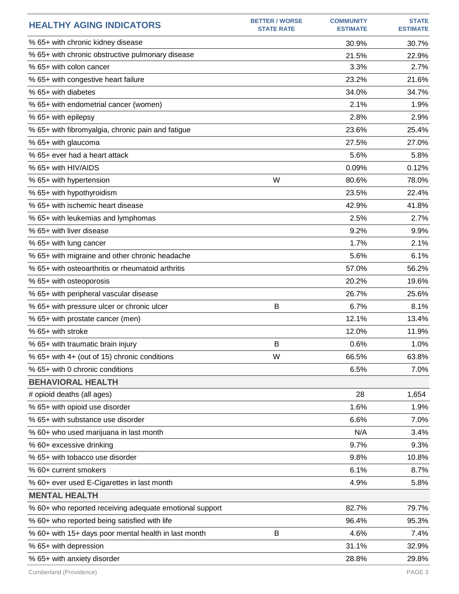| <b>HEALTHY AGING INDICATORS</b>                         | <b>BETTER / WORSE</b><br><b>STATE RATE</b> | <b>COMMUNITY</b><br><b>ESTIMATE</b> | <b>STATE</b><br><b>ESTIMATE</b> |
|---------------------------------------------------------|--------------------------------------------|-------------------------------------|---------------------------------|
| % 65+ with chronic kidney disease                       |                                            | 30.9%                               | 30.7%                           |
| % 65+ with chronic obstructive pulmonary disease        |                                            | 21.5%                               | 22.9%                           |
| % 65+ with colon cancer                                 |                                            | 3.3%                                | 2.7%                            |
| % 65+ with congestive heart failure                     |                                            | 23.2%                               | 21.6%                           |
| % 65+ with diabetes                                     |                                            | 34.0%                               | 34.7%                           |
| % 65+ with endometrial cancer (women)                   |                                            | 2.1%                                | 1.9%                            |
| % 65+ with epilepsy                                     |                                            | 2.8%                                | 2.9%                            |
| % 65+ with fibromyalgia, chronic pain and fatigue       |                                            | 23.6%                               | 25.4%                           |
| % 65+ with glaucoma                                     |                                            | 27.5%                               | 27.0%                           |
| % 65+ ever had a heart attack                           |                                            | 5.6%                                | 5.8%                            |
| % 65+ with HIV/AIDS                                     |                                            | 0.09%                               | 0.12%                           |
| % 65+ with hypertension                                 | W                                          | 80.6%                               | 78.0%                           |
| % 65+ with hypothyroidism                               |                                            | 23.5%                               | 22.4%                           |
| % 65+ with ischemic heart disease                       |                                            | 42.9%                               | 41.8%                           |
| % 65+ with leukemias and lymphomas                      |                                            | 2.5%                                | 2.7%                            |
| % 65+ with liver disease                                |                                            | 9.2%                                | 9.9%                            |
| % 65+ with lung cancer                                  |                                            | 1.7%                                | 2.1%                            |
| % 65+ with migraine and other chronic headache          |                                            | 5.6%                                | 6.1%                            |
| % 65+ with osteoarthritis or rheumatoid arthritis       |                                            | 57.0%                               | 56.2%                           |
| % 65+ with osteoporosis                                 |                                            | 20.2%                               | 19.6%                           |
| % 65+ with peripheral vascular disease                  |                                            | 26.7%                               | 25.6%                           |
| % 65+ with pressure ulcer or chronic ulcer              | B                                          | 6.7%                                | 8.1%                            |
| % 65+ with prostate cancer (men)                        |                                            | 12.1%                               | 13.4%                           |
| % 65+ with stroke                                       |                                            | 12.0%                               | 11.9%                           |
| % 65+ with traumatic brain injury                       | B                                          | 0.6%                                | 1.0%                            |
| % 65+ with 4+ (out of 15) chronic conditions            | W                                          | 66.5%                               | 63.8%                           |
| % 65+ with 0 chronic conditions                         |                                            | 6.5%                                | 7.0%                            |
| <b>BEHAVIORAL HEALTH</b>                                |                                            |                                     |                                 |
| # opioid deaths (all ages)                              |                                            | 28                                  | 1,654                           |
| % 65+ with opioid use disorder                          |                                            | 1.6%                                | 1.9%                            |
| % 65+ with substance use disorder                       |                                            | 6.6%                                | 7.0%                            |
| % 60+ who used marijuana in last month                  |                                            | N/A                                 | 3.4%                            |
| % 60+ excessive drinking                                |                                            | 9.7%                                | 9.3%                            |
| % 65+ with tobacco use disorder                         |                                            | 9.8%                                | 10.8%                           |
| % 60+ current smokers                                   |                                            | 6.1%                                | 8.7%                            |
| % 60+ ever used E-Cigarettes in last month              |                                            | 4.9%                                | 5.8%                            |
| <b>MENTAL HEALTH</b>                                    |                                            |                                     |                                 |
| % 60+ who reported receiving adequate emotional support |                                            | 82.7%                               | 79.7%                           |
| % 60+ who reported being satisfied with life            |                                            | 96.4%                               | 95.3%                           |
| % 60+ with 15+ days poor mental health in last month    | B                                          | 4.6%                                | 7.4%                            |
| % 65+ with depression                                   |                                            | 31.1%                               | 32.9%                           |
| % 65+ with anxiety disorder                             |                                            | 28.8%                               | 29.8%                           |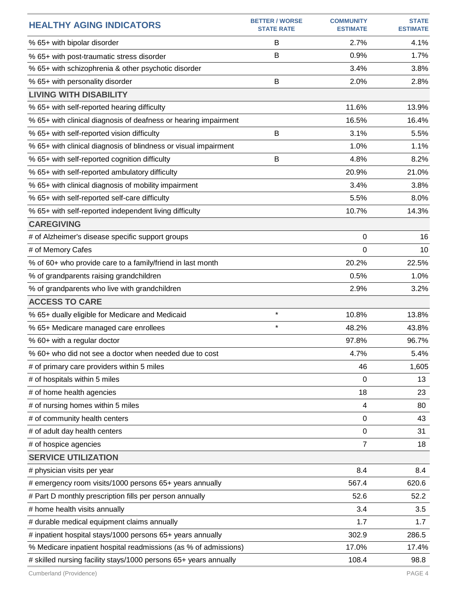| <b>HEALTHY AGING INDICATORS</b>                                  | <b>BETTER / WORSE</b><br><b>STATE RATE</b> | <b>COMMUNITY</b><br><b>ESTIMATE</b> | <b>STATE</b><br><b>ESTIMATE</b> |
|------------------------------------------------------------------|--------------------------------------------|-------------------------------------|---------------------------------|
| % 65+ with bipolar disorder                                      | B                                          | 2.7%                                | 4.1%                            |
| % 65+ with post-traumatic stress disorder                        | B                                          | 0.9%                                | 1.7%                            |
| % 65+ with schizophrenia & other psychotic disorder              |                                            | 3.4%                                | 3.8%                            |
| % 65+ with personality disorder                                  | B                                          | 2.0%                                | 2.8%                            |
| <b>LIVING WITH DISABILITY</b>                                    |                                            |                                     |                                 |
| % 65+ with self-reported hearing difficulty                      |                                            | 11.6%                               | 13.9%                           |
| % 65+ with clinical diagnosis of deafness or hearing impairment  |                                            | 16.5%                               | 16.4%                           |
| % 65+ with self-reported vision difficulty                       | B                                          | 3.1%                                | 5.5%                            |
| % 65+ with clinical diagnosis of blindness or visual impairment  |                                            | 1.0%                                | 1.1%                            |
| % 65+ with self-reported cognition difficulty                    | B                                          | 4.8%                                | 8.2%                            |
| % 65+ with self-reported ambulatory difficulty                   |                                            | 20.9%                               | 21.0%                           |
| % 65+ with clinical diagnosis of mobility impairment             |                                            | 3.4%                                | 3.8%                            |
| % 65+ with self-reported self-care difficulty                    |                                            | 5.5%                                | 8.0%                            |
| % 65+ with self-reported independent living difficulty           |                                            | 10.7%                               | 14.3%                           |
| <b>CAREGIVING</b>                                                |                                            |                                     |                                 |
| # of Alzheimer's disease specific support groups                 |                                            | 0                                   | 16                              |
| # of Memory Cafes                                                |                                            | 0                                   | 10                              |
| % of 60+ who provide care to a family/friend in last month       |                                            | 20.2%                               | 22.5%                           |
| % of grandparents raising grandchildren                          |                                            | 0.5%                                | 1.0%                            |
| % of grandparents who live with grandchildren                    |                                            | 2.9%                                | 3.2%                            |
| <b>ACCESS TO CARE</b>                                            |                                            |                                     |                                 |
| % 65+ dually eligible for Medicare and Medicaid                  | $\star$                                    | 10.8%                               | 13.8%                           |
| % 65+ Medicare managed care enrollees                            | $\star$                                    | 48.2%                               | 43.8%                           |
| % 60+ with a regular doctor                                      |                                            | 97.8%                               | 96.7%                           |
| % 60+ who did not see a doctor when needed due to cost           |                                            | 4.7%                                | 5.4%                            |
| # of primary care providers within 5 miles                       |                                            | 46                                  | 1,605                           |
| # of hospitals within 5 miles                                    |                                            | 0                                   | 13                              |
| # of home health agencies                                        |                                            | 18                                  | 23                              |
| # of nursing homes within 5 miles                                |                                            | 4                                   | 80                              |
| # of community health centers                                    |                                            | $\mathbf 0$                         | 43                              |
| # of adult day health centers                                    |                                            | $\boldsymbol{0}$                    | 31                              |
| # of hospice agencies                                            |                                            | 7                                   | 18                              |
| <b>SERVICE UTILIZATION</b>                                       |                                            |                                     |                                 |
| # physician visits per year                                      |                                            | 8.4                                 | 8.4                             |
| # emergency room visits/1000 persons 65+ years annually          |                                            | 567.4                               | 620.6                           |
| # Part D monthly prescription fills per person annually          |                                            | 52.6                                | 52.2                            |
| # home health visits annually                                    |                                            | 3.4                                 | 3.5                             |
| # durable medical equipment claims annually                      |                                            | 1.7                                 | 1.7                             |
| # inpatient hospital stays/1000 persons 65+ years annually       |                                            | 302.9                               | 286.5                           |
| % Medicare inpatient hospital readmissions (as % of admissions)  |                                            | 17.0%                               | 17.4%                           |
| # skilled nursing facility stays/1000 persons 65+ years annually |                                            | 108.4                               | 98.8                            |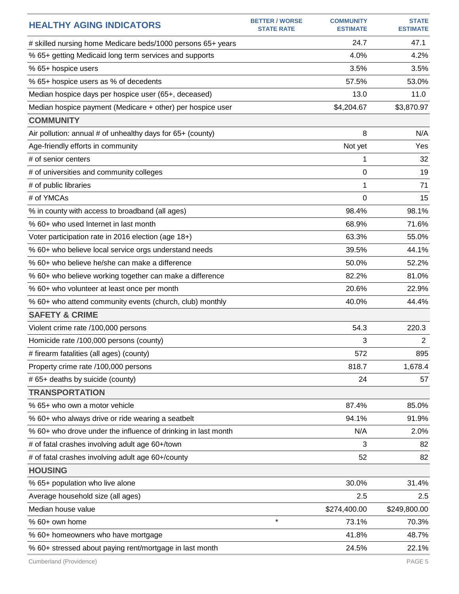| <b>HEALTHY AGING INDICATORS</b>                               | <b>BETTER / WORSE</b><br><b>STATE RATE</b> | <b>COMMUNITY</b><br><b>ESTIMATE</b> | <b>STATE</b><br><b>ESTIMATE</b> |
|---------------------------------------------------------------|--------------------------------------------|-------------------------------------|---------------------------------|
| # skilled nursing home Medicare beds/1000 persons 65+ years   |                                            | 24.7                                | 47.1                            |
| % 65+ getting Medicaid long term services and supports        |                                            | 4.0%                                | 4.2%                            |
| % 65+ hospice users                                           |                                            | 3.5%                                | 3.5%                            |
| % 65+ hospice users as % of decedents                         |                                            | 57.5%                               | 53.0%                           |
| Median hospice days per hospice user (65+, deceased)          |                                            | 13.0                                | 11.0                            |
| Median hospice payment (Medicare + other) per hospice user    |                                            | \$4,204.67                          | \$3,870.97                      |
| <b>COMMUNITY</b>                                              |                                            |                                     |                                 |
| Air pollution: annual # of unhealthy days for 65+ (county)    |                                            | 8                                   | N/A                             |
| Age-friendly efforts in community                             |                                            | Not yet                             | Yes                             |
| # of senior centers                                           |                                            | 1                                   | 32                              |
| # of universities and community colleges                      |                                            | 0                                   | 19                              |
| # of public libraries                                         |                                            | 1                                   | 71                              |
| # of YMCAs                                                    |                                            | $\Omega$                            | 15                              |
| % in county with access to broadband (all ages)               |                                            | 98.4%                               | 98.1%                           |
| % 60+ who used Internet in last month                         |                                            | 68.9%                               | 71.6%                           |
| Voter participation rate in 2016 election (age 18+)           |                                            | 63.3%                               | 55.0%                           |
| % 60+ who believe local service orgs understand needs         |                                            | 39.5%                               | 44.1%                           |
| % 60+ who believe he/she can make a difference                |                                            | 50.0%                               | 52.2%                           |
| % 60+ who believe working together can make a difference      |                                            | 82.2%                               | 81.0%                           |
| % 60+ who volunteer at least once per month                   |                                            | 20.6%                               | 22.9%                           |
| % 60+ who attend community events (church, club) monthly      |                                            | 40.0%                               | 44.4%                           |
| <b>SAFETY &amp; CRIME</b>                                     |                                            |                                     |                                 |
| Violent crime rate /100,000 persons                           |                                            | 54.3                                | 220.3                           |
| Homicide rate /100,000 persons (county)                       |                                            | 3                                   | $\overline{2}$                  |
| # firearm fatalities (all ages) (county)                      |                                            | 572                                 | 895                             |
| Property crime rate /100,000 persons                          |                                            | 818.7                               | 1,678.4                         |
| # 65+ deaths by suicide (county)                              |                                            | 24                                  | 57                              |
| <b>TRANSPORTATION</b>                                         |                                            |                                     |                                 |
| % 65+ who own a motor vehicle                                 |                                            | 87.4%                               | 85.0%                           |
| % 60+ who always drive or ride wearing a seatbelt             |                                            | 94.1%                               | 91.9%                           |
| % 60+ who drove under the influence of drinking in last month |                                            | N/A                                 | 2.0%                            |
| # of fatal crashes involving adult age 60+/town               |                                            | 3                                   | 82                              |
| # of fatal crashes involving adult age 60+/county             |                                            | 52                                  | 82                              |
| <b>HOUSING</b>                                                |                                            |                                     |                                 |
| % 65+ population who live alone                               |                                            | 30.0%                               | 31.4%                           |
| Average household size (all ages)                             |                                            | 2.5                                 | 2.5                             |
| Median house value                                            |                                            | \$274,400.00                        | \$249,800.00                    |
| % 60+ own home                                                | $\star$                                    | 73.1%                               | 70.3%                           |
| % 60+ homeowners who have mortgage                            |                                            | 41.8%                               | 48.7%                           |
| % 60+ stressed about paying rent/mortgage in last month       |                                            | 24.5%                               | 22.1%                           |